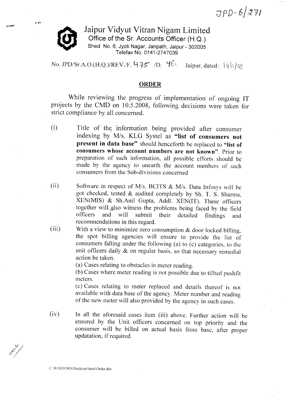$JPD-6/271$ 

Jaipur Vidyut Vitran Nigam Limited Office of the Sr. Accounts Officer (H.Q.) Shed No. 6, Jyoti Nagar, Janpath, Jaipur - 302005 Telefax No. 0141-2747039

No. JPD/Sr.A.O.(H.Q.)/REV./F. 4 75 /D.  $46^\circ$  Jaipur, dated: 19/5/08

## **ORDER**

while reviewing the progress of implementation of ongoing IT projects by the CMD on 10.5.2008, following decisions were taken for strict compliance by all concerned.

- $(i)$ Title of the information being provided after consumer indexing by M/s. KLG Systel as "list of consumers not present in data base" should henceforth be replaced to "list of consumers whose account numbers are not known". prior to preparation of such information, all possible efforts should be made by the agency to unearth the account numbers of such consumers from the Sub-divisions concerned
- (ii) Software in respect of M/s. BCITS  $\&$  M/s. Data Infosys will be got checked, tested & audited completely by Sh. T. S. Sharma, XEN(MIS) & Sh.Anil Gupta, Addl. XEN(IT). These officers together will also witness the problems being faced by the field<br>officers and will submit their detailed findings and officers and will submit their detailed findings and recommendations in this regard.
- With a view to minimize zero consumption  $&$  door locked billing, the spot billing agencies will ensure to provide the list of consumers falling under the following (a) to (c) categories, to the unit officers daily  $\&$  on regular basis, so that necessary remedial action be taken. (iii)

(a) Cases relating to obstacles in meter reading.

(b) cases where meter reading is not possible due to tillted pushfit meters.

(c) cases relating to meter replaced and details thereof is not available with data base of the agency. Meter number and reading of the new meter will also provided by the agency in such cases.

In all the aforesaid cases item (iii) above. Further action will be ensured by the Unit officers concerned on top priority and the consumer will be billed on actual basis from base, after proper updatation. if required.  $(iv)$ 

 $\mathcal{V}$  . /(. / /)/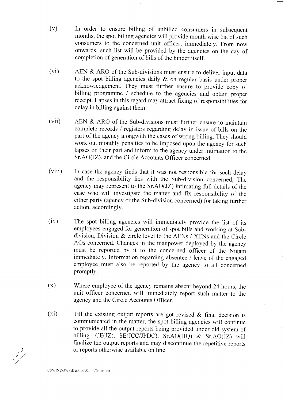- In order to ensure billing of unbilled consumers in subsequent months, the spot billing agencies will provide month wise list of such consumers to the concerned unit officer, immediately. From now onwards, such list will be provided by the agencies on the day of completion of generation of bills of the binder itself.
- (vi) AEN  $&$  ARO of the Sub-divisions must ensure to deliver input data to the spot billing agencies daily & on regular basis under proper acknowledgement. They must further ensure to provide copy of billing programme / schedule to the agencies and obtain proper receipt. Lapses in this regard may attract fixing of responsibilities for delay in billing against them.
- (vii) AEN  $&$  ARO of the Sub-divisions must further ensure to maintain complete records / registers regarding delay in issue of bills on the part of the agency alongwith the cases of wrong billing. They should work out monthly penalties to be imposed upon the agency for such lapses on their part and inform to the agency under intimation to the Sr.AO(JZ), and the Circle Accounts Officer concerned.
- (viii) In case the agency finds that it was not responsible for such delay and the responsibility lies with the Sub-division concerned; The agency may represent to the Sr.Ao(JZ) intimating full details of the case who will investigate the matter and fix responsibility of the either party (agency or the Sub-division concerned) for taking further action, accordingly.
- $(ix)$ The spot billing agencies will immediately provide the list of its employees engaged for generation of spot bills and working at Subdivision, Division & circle level to the AENs / XENs and the circle AOs concerned. Changes in the manpower deployed by the agency must be reported by it to the concerned officer of the Nigam immediately. Information regarding absentee / leave of the engaged ernployee must also be reported by the agency to all concerned promptly.
- (x) where employee of the agency remains absent beyond 24 hours, the unit officer concerned will imrnediately report such matter to the agency and the Circle Accounts Officer.
- $(xi)$ Till the existing output reports are got revised & final decision is communicated in the matter, the spot billing agencies will continue to provide all the output reports being provided under old system of billing. CE(IZ), SE(JCC/JPDC), Sr.AO(HQ) & Sr.AO(JZ) will finalize the output reports and may discontinue the repetitive reports or reports otherwise available on line.

C:\WINDOWS\Desktop\Saini\Order.doc

 $\frac{1}{\sqrt{2}}$ 

(v)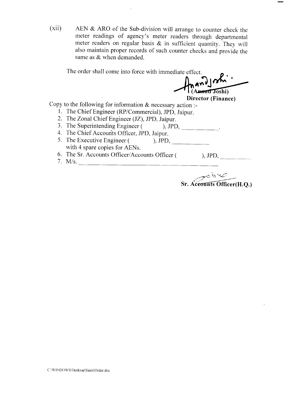(xii) AEN & ARO of the Sub-division will arrange to counter check the meter readings of agency's meter readers through departmental meter readers on regular basis & in sufficient quantity. They will also maintain proper records of such counter checks and provide the same as & when demanded.

The order shall come into force with immediate effect.

nand John Anand Joshi)

Director (Finance)

Copy to the following for information  $\&$  necessary action :-

- 1. The Chief Engineer (RP/Commercial), JPD, Jaipur.
- 2. The Zonal Chief Engineer (JZ), JPD, Jaipur.
- 3. The Superintending Engineer ( ), JPD, \_\_\_\_\_\_\_\_\_\_\_.
- 4. The Chief Accounts Officer, JPD, Jaipur.
- 5. The Executive Engineer ( ), JPD, with 4 spare copies for AENs.
- 6. The Sr. Accounts Officer/Accounts Officer ). JPD,
- 1. M/s.

Sr. Aceounts Officer(H.Q.)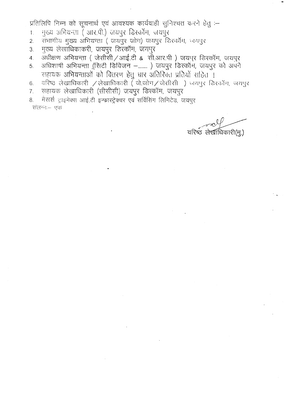प्रतिलिपि निम्न को सूचनार्थ एवं आवश्यक कार्यवाही सुनिश्चत करने हेतु :-

- मुख्य अभियन्ता ( आर.पी.) जयपुर डिस्कॉम, जयपुर  $\mathbf{1}$ .
- संभागीय मुख्य अभियन्ता (जयपुर जोन) जयपुर डिश्कॉम, जयपुर  $\overline{2}$ .
- मुख्य लेखाधिकाकरी, जयपुर डिस्कॉम, जगपुर  $3.$
- अधीक्षण अभियन्ता (जेसीसी/आई.टी & सी.आर.पी) जयपुर डिस्कॉम, जयपुर  $\overline{4}$ .
- अधिशाषी अभियन्ता (सिटी डिविजन –.......) जयपुर डिस्कॉम, जयपुर को अपने 5. सहायक अभियन्ताओं को वितरण हेतु चार अतिरिक्त प्रतियों सहित ।
- वरिष्ठ लेखाधिकारी / लेखाधिकारी ( जे.जोन/जेसीसी ) जयपुर डिस्कॉम, जयपुर 6.
- सहायक लेखाधिकारी (सीसीसी) जयपुर डिस्कॉम, जयपुर  $7.$
- मैसर्स ट्राइमेक्स आई.टी इन्फ्रास्ट्रेक्चर एवं सर्विसिंग लिमिटेड, जयपर 8. संलग्नः– एक

वरिष्ठ लेखाधिकारी(मू.)